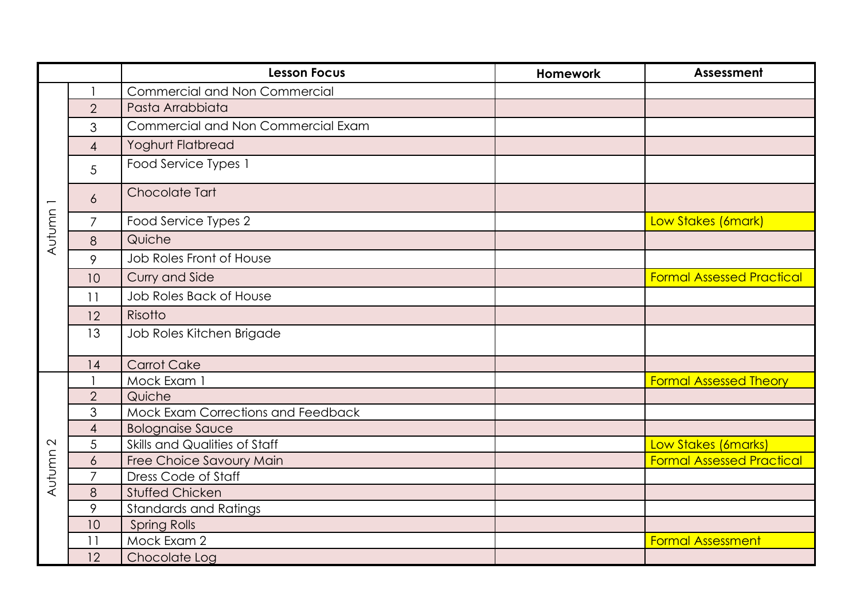|                   |                | <b>Lesson Focus</b>                       | <b>Homework</b> | Assessment                       |
|-------------------|----------------|-------------------------------------------|-----------------|----------------------------------|
| Autumn            |                | <b>Commercial and Non Commercial</b>      |                 |                                  |
|                   | $\overline{2}$ | Pasta Arrabbiata                          |                 |                                  |
|                   | 3              | Commercial and Non Commercial Exam        |                 |                                  |
|                   | $\overline{4}$ | <b>Yoghurt Flatbread</b>                  |                 |                                  |
|                   | 5              | Food Service Types 1                      |                 |                                  |
|                   | 6              | Chocolate Tart                            |                 |                                  |
|                   | $\overline{7}$ | Food Service Types 2                      |                 | Low Stakes (6mark)               |
|                   | 8              | Quiche                                    |                 |                                  |
|                   | 9              | Job Roles Front of House                  |                 |                                  |
|                   | 10             | Curry and Side                            |                 | <b>Formal Assessed Practical</b> |
|                   | 11             | Job Roles Back of House                   |                 |                                  |
|                   | 12             | Risotto                                   |                 |                                  |
|                   | 13             | Job Roles Kitchen Brigade                 |                 |                                  |
|                   | 14             | <b>Carrot Cake</b>                        |                 |                                  |
|                   |                | Mock Exam 1                               |                 | <b>Formal Assessed Theory</b>    |
|                   | $\overline{2}$ | Quiche                                    |                 |                                  |
|                   | 3              | <b>Mock Exam Corrections and Feedback</b> |                 |                                  |
|                   | $\overline{4}$ | <b>Bolognaise Sauce</b>                   |                 |                                  |
| $\mathbf{\Omega}$ | 5              | Skills and Qualities of Staff             |                 | Low Stakes (6marks)              |
|                   | $\ddot{\circ}$ | Free Choice Savoury Main                  |                 | <b>Formal Assessed Practical</b> |
| Autumn            | $\overline{7}$ | Dress Code of Staff                       |                 |                                  |
|                   | 8              | <b>Stuffed Chicken</b>                    |                 |                                  |
|                   | 9              | <b>Standards and Ratings</b>              |                 |                                  |
|                   | 10             | <b>Spring Rolls</b>                       |                 |                                  |
|                   | 11             | Mock Exam 2                               |                 | <b>Formal Assessment</b>         |
|                   | 12             | Chocolate Log                             |                 |                                  |